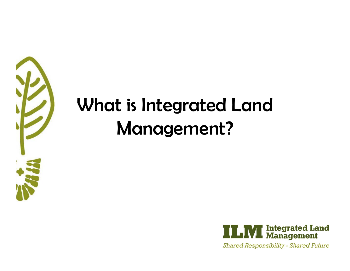

#### What is Integrated Land Management?

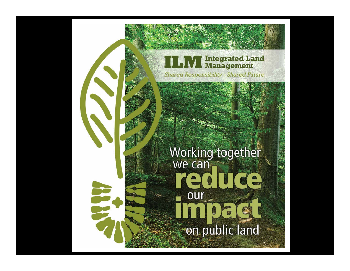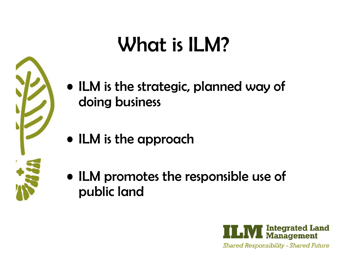

## What is ILM?

- ILM is the strategic, planned way of doing business
- ILM is the approach
- ILM promotes the responsible use of public land

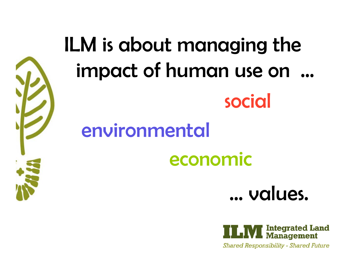

# ILM is about managing the impact of human use on



environmental

#### economic



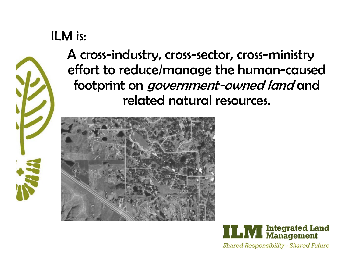#### ILM is:



A cross-industry, cross-sector, cross-ministry effort to reduce/manage the human-caused footprint on government-owned land and related natural resources.



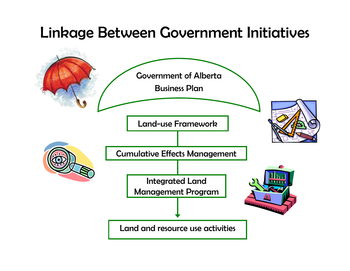#### Linkage Between Government Initiatives

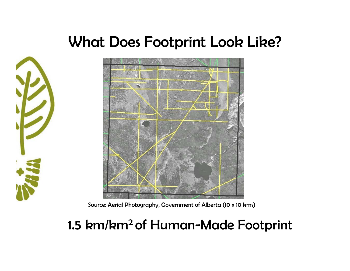#### What Does Footprint Look Like?





Source: Aerial Photography, Government of Alberta (10 x 10 kms)

#### 1.5 km/km2 of Human-Made Footprint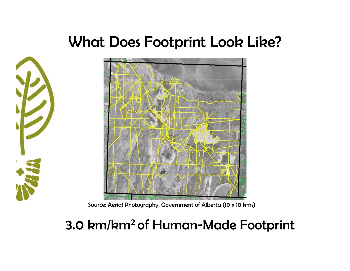#### What Does Footprint Look Like?





Source: Aerial Photography, Government of Alberta (10 x 10 kms)

#### 3.0 km/km2 of Human-Made Footprint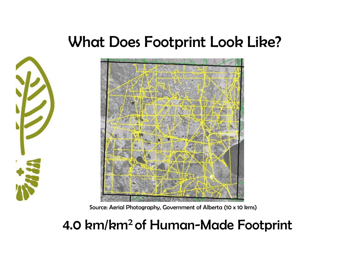#### What Does Footprint Look Like?





Source: Aerial Photography, Government of Alberta (10 x 10 kms)

#### 4.0 km/km2 of Human-Made Footprint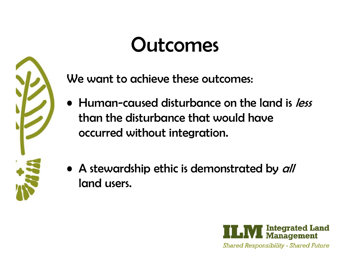## Outcomes



We want to achieve these outcomes:

- Human-caused disturbance on the land is less than the disturbance that would have occurred without integration.
- A stewardship ethic is demonstrated by all land users.

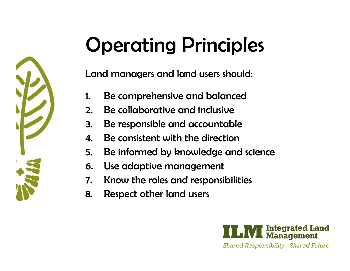

## Operating Principles

Land managers and land users should:

- 1.Be comprehensive and balanced
- 2.Be collaborative and inclusive
- 3. Be responsible and accountable
- 4.Be consistent with the direction
- 5. Be informed by knowledge and science
- 6. Use adaptive management
- 7. Know the roles and responsibilities
- 8. Respect other land users

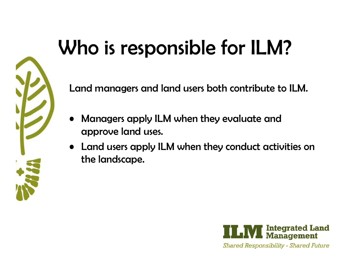## Who is responsible for ILM?

Land managers and land users both contribute to ILM.

- • Managers apply ILM when they evaluate and approve land uses.
- Land users apply ILM when they conduct activities on the landscape.

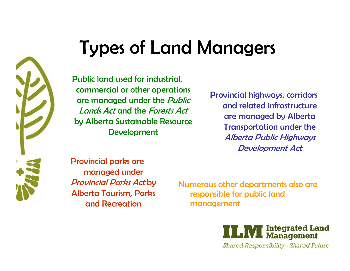

#### Types of Land Managers

Public land used for industrial, commercial or other operations are managed under the *Public* Lands Act and the Forests Actby Alberta Sustainable Resource **Development** 

Provincial highways, corridors and related infrastructure are managed by Alberta Transportation under the Alberta Public Highways Development Act

Provincial parks are managed under Provincial Parks Act by Alberta Tourism, Parks and Recreation

Numerous other departments also are responsible for public land management

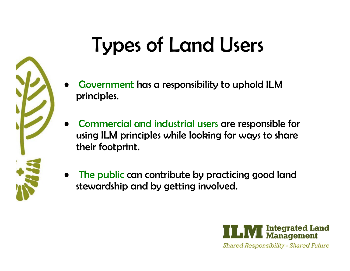

## Types of Land Users

- • Government has a responsibility to uphold ILM principles.
- • Commercial and industrial users are responsible for using ILM principles while looking for ways to share their footprint.
- • The public can contribute by practicing good land stewardship and by getting involved.

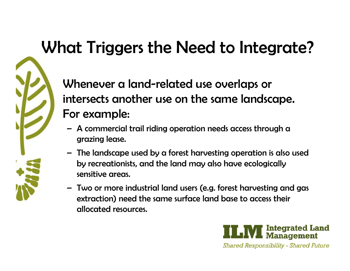#### What Triggers the Need to Integrate?

Whenever a land-related use overlaps or intersects another use on the same landscape. For example:

- A commercial trail riding operation needs access through a grazing lease.
- The landscape used by a forest harvesting operation is also used by recreationists, and the land may also have ecologically sensitive areas.
- Two or more industrial land users (e.g. forest harvesting and gas extraction) need the same surface land base to access their allocated resources.

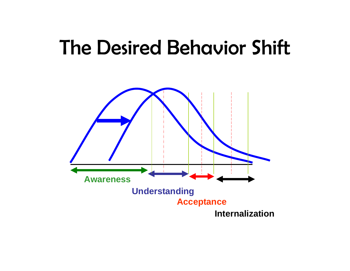#### The Desired Behavior Shift

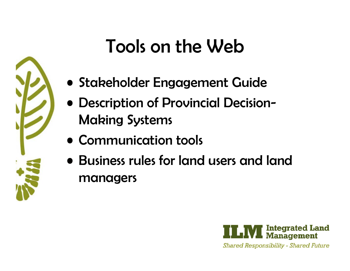### Tools on the Web

- Stakeholder Engagement Guide
- Description of Provincial Decision-Making Systems
- Communication tools
- Business rules for land users and land managers

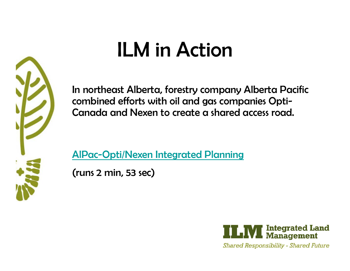

In northeast Alberta, forestry company Alberta Pacific combined efforts with oil and gas companies Opti-Canada and Nexen to create a shared access road.

[AlPac-Opti/Nexen Integrated Planning](https://www.alberta.ca/integrated-land-management-success-stories.aspx)

(runs 2 min, 53 sec)

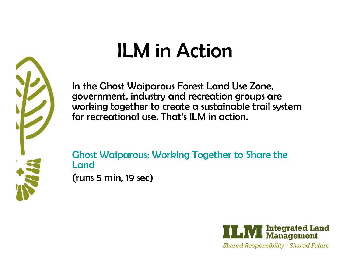

In the Ghost Waiparous Forest Land Use Zone, government, industry and recreation groups are working together to create a sustainable trail system for recreational use. That's ILM in action.

[Ghost Waiparous: Working Together to Share the](https://www.alberta.ca/integrated-land-management-success-stories.aspx)  [Land](http://srd.alberta.ca/ManagingPrograms/IntegratedLandManagement/ILMSuccessStories.aspx) (runs 5 min, 19 sec)

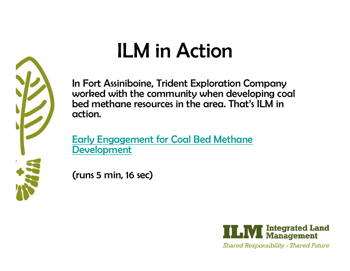

In Fort Assiniboine, Trident Exploration Company worked with the community when developing coal bed methane resources in the area. That's ILM in action.

[Early Engagement for Coal Bed Methane](https://www.alberta.ca/integrated-land-management-success-stories.aspx)  [Development](http://srd.alberta.ca/ManagingPrograms/IntegratedLandManagement/ILMSuccessStories.aspx)

(runs 5 min, 16 sec)

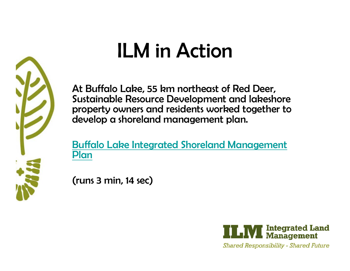At Buffalo Lake, 55 km northeast of Red Deer, Sustainable Resource Development and lakeshore property owners and residents worked together to develop a shoreland management plan.

[Buffalo Lake Integrated Shoreland Management](https://www.alberta.ca/integrated-land-management-success-stories.aspx)  [Plan](http://srd.alberta.ca/ManagingPrograms/IntegratedLandManagement/ILMSuccessStories.aspx)

(runs 3 min, 14 sec)

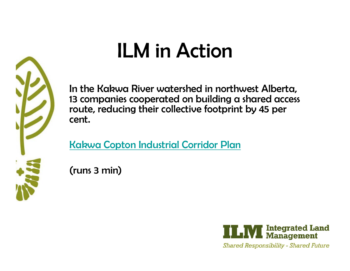In the Kakwa River watershed in northwest Alberta, 13 companies cooperated on building a shared access route, reducing their collective footprint by 45 per cent.

[Kakwa Copton Industrial Corridor Plan](https://www.alberta.ca/integrated-land-management-success-stories.aspx)

(runs 3 min)

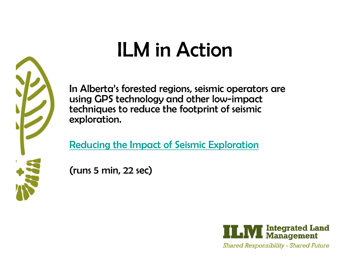In Alberta's forested regions, seismic operators are using GPS technology and other low-impact techniques to reduce the footprint of seismic exploration.

[Reducing the Impact of Seismic Exploration](https://www.alberta.ca/integrated-land-management-success-stories.aspx)

(runs 5 min, 22 sec)